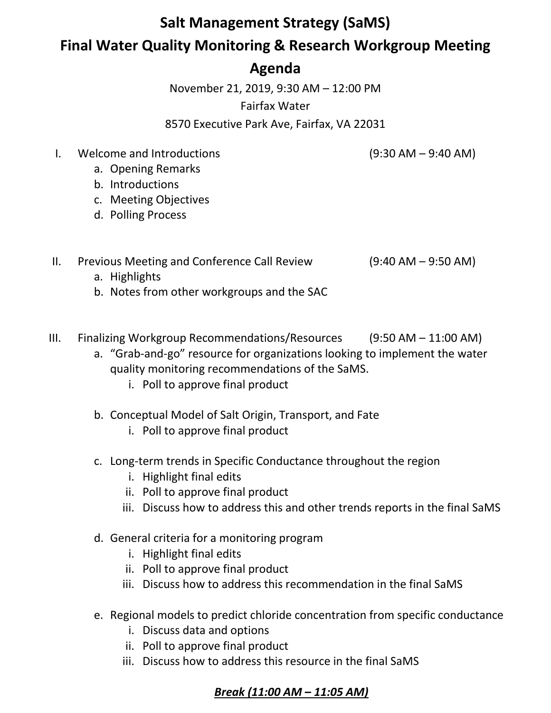## **Salt Management Strategy (SaMS)**

## **Final Water Quality Monitoring & Research Workgroup Meeting**

## **Agenda**

November 21, 2019, 9:30 AM – 12:00 PM

Fairfax Water

8570 Executive Park Ave, Fairfax, VA 22031

I. Welcome and Introductions (9:30 AM – 9:40 AM)

- a. Opening Remarks
- b. Introductions
- c. Meeting Objectives
- d. Polling Process
- II. Previous Meeting and Conference Call Review (9:40 AM 9:50 AM)
	- a. Highlights
	- b. Notes from other workgroups and the SAC
- III. Finalizing Workgroup Recommendations/Resources (9:50 AM 11:00 AM)
	- a. "Grab-and-go" resource for organizations looking to implement the water quality monitoring recommendations of the SaMS.
		- i. Poll to approve final product
	- b. Conceptual Model of Salt Origin, Transport, and Fate
		- i. Poll to approve final product
	- c. Long-term trends in Specific Conductance throughout the region
		- i. Highlight final edits
		- ii. Poll to approve final product
		- iii. Discuss how to address this and other trends reports in the final SaMS
	- d. General criteria for a monitoring program
		- i. Highlight final edits
		- ii. Poll to approve final product
		- iii. Discuss how to address this recommendation in the final SaMS
	- e. Regional models to predict chloride concentration from specific conductance
		- i. Discuss data and options
		- ii. Poll to approve final product
		- iii. Discuss how to address this resource in the final SaMS

## *Break (11:00 AM – 11:05 AM)*